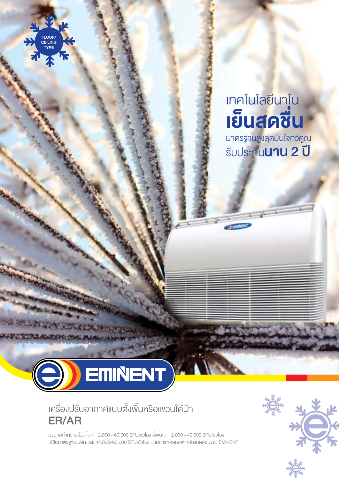

## เทคโนโลยีนาโน เย็นสดชื่น

มาตรฐานสูงสุดมั่นใจทวีคูณ รับประกันนาน 2 ปี



## เครื่องปรับอากาศแบบตั้งพื้นหรือแขวนใต้ฝ้า ER/AR

มีขนาดท�ำความเย็นตั้งแต่ 12,000 - 60,000 BTU/ชั่วโมง ซึ่งขนาด 12,000 - 40,000 BTU/ชั่วโมง ได้รับมาตรฐาน มอก. และ 44,000–60,000 BTU/ชั่วโมง ผานการทดสอบจากหองทดสอบของ EMINENT